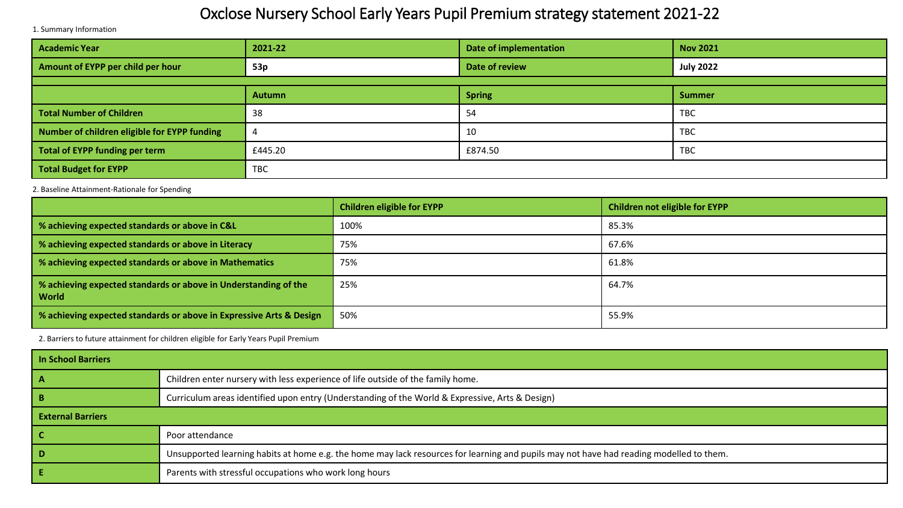## Oxclose Nursery School Early Years Pupil Premium strategy statement 2021-22

1. Summary Information

| <b>Academic Year</b>                         | 2021-22 | Date of implementation | <b>Nov 2021</b>  |  |
|----------------------------------------------|---------|------------------------|------------------|--|
| Amount of EYPP per child per hour            | 53p     | Date of review         | <b>July 2022</b> |  |
|                                              |         |                        |                  |  |
|                                              | Autumn  | <b>Spring</b>          | <b>Summer</b>    |  |
| <b>Total Number of Children</b>              | 38      | 54                     | <b>TBC</b>       |  |
| Number of children eligible for EYPP funding |         | 10                     | <b>TBC</b>       |  |
| Total of EYPP funding per term               | £445.20 | £874.50                | <b>TBC</b>       |  |
| <b>Total Budget for EYPP</b>                 | TBC     |                        |                  |  |

2. Baseline Attainment-Rationale for Spending

|                                                                          | <b>Children eligible for EYPP</b> | Children not eligible for EYPP |
|--------------------------------------------------------------------------|-----------------------------------|--------------------------------|
| % achieving expected standards or above in C&L                           | 100%                              | 85.3%                          |
| % achieving expected standards or above in Literacy                      | 75%                               | 67.6%                          |
| % achieving expected standards or above in Mathematics                   | 75%                               | 61.8%                          |
| % achieving expected standards or above in Understanding of the<br>World | 25%                               | 64.7%                          |
| % achieving expected standards or above in Expressive Arts & Design      | 50%                               | 55.9%                          |

2. Barriers to future attainment for children eligible for Early Years Pupil Premium

| In School Barriers       |                                                                                                                                         |  |  |
|--------------------------|-----------------------------------------------------------------------------------------------------------------------------------------|--|--|
| - A                      | Children enter nursery with less experience of life outside of the family home.                                                         |  |  |
| - B                      | Curriculum areas identified upon entry (Understanding of the World & Expressive, Arts & Design)                                         |  |  |
| <b>External Barriers</b> |                                                                                                                                         |  |  |
|                          | Poor attendance                                                                                                                         |  |  |
| <b>D</b>                 | Unsupported learning habits at home e.g. the home may lack resources for learning and pupils may not have had reading modelled to them. |  |  |
|                          | Parents with stressful occupations who work long hours                                                                                  |  |  |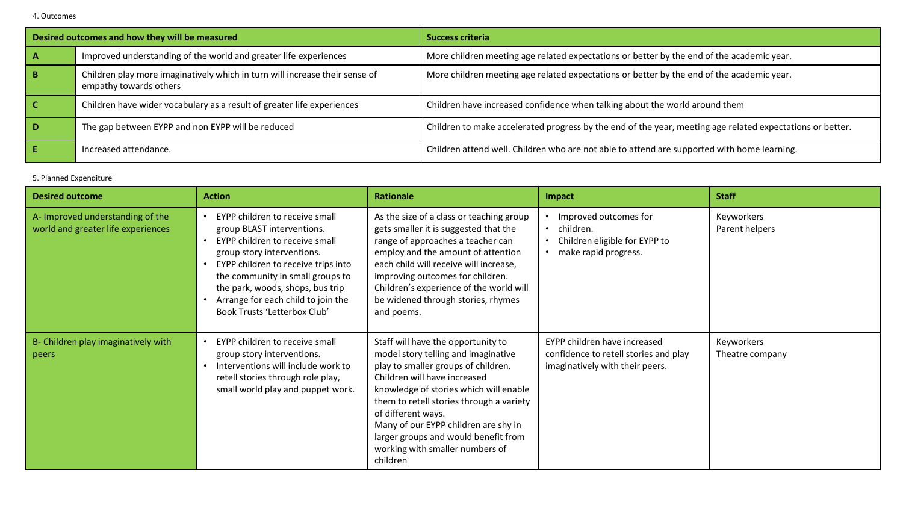| Desired outcomes and how they will be measured |                                                                                                       | <b>Success criteria</b>                                                                                   |  |
|------------------------------------------------|-------------------------------------------------------------------------------------------------------|-----------------------------------------------------------------------------------------------------------|--|
|                                                | Improved understanding of the world and greater life experiences                                      | More children meeting age related expectations or better by the end of the academic year.                 |  |
| B.                                             | Children play more imaginatively which in turn will increase their sense of<br>empathy towards others | More children meeting age related expectations or better by the end of the academic year.                 |  |
|                                                | Children have wider vocabulary as a result of greater life experiences                                | Children have increased confidence when talking about the world around them                               |  |
| D                                              | The gap between EYPP and non EYPP will be reduced                                                     | Children to make accelerated progress by the end of the year, meeting age related expectations or better. |  |
|                                                | Increased attendance.                                                                                 | Children attend well. Children who are not able to attend are supported with home learning.               |  |

## 5. Planned Expenditure

| <b>Desired outcome</b>                                                 | <b>Action</b>                                                                                                                                                                                                                                                                                                     | <b>Rationale</b>                                                                                                                                                                                                                                                                                                                                                                            | Impact                                                                                                                | <b>Staff</b>                  |
|------------------------------------------------------------------------|-------------------------------------------------------------------------------------------------------------------------------------------------------------------------------------------------------------------------------------------------------------------------------------------------------------------|---------------------------------------------------------------------------------------------------------------------------------------------------------------------------------------------------------------------------------------------------------------------------------------------------------------------------------------------------------------------------------------------|-----------------------------------------------------------------------------------------------------------------------|-------------------------------|
| A- Improved understanding of the<br>world and greater life experiences | EYPP children to receive small<br>group BLAST interventions.<br>EYPP children to receive small<br>group story interventions.<br>EYPP children to receive trips into<br>the community in small groups to<br>the park, woods, shops, bus trip<br>Arrange for each child to join the<br>Book Trusts 'Letterbox Club' | As the size of a class or teaching group<br>gets smaller it is suggested that the<br>range of approaches a teacher can<br>employ and the amount of attention<br>each child will receive will increase,<br>improving outcomes for children.<br>Children's experience of the world will<br>be widened through stories, rhymes<br>and poems.                                                   | Improved outcomes for<br>children.<br>$\bullet$<br>Children eligible for EYPP to<br>$\bullet$<br>make rapid progress. | Keyworkers<br>Parent helpers  |
| B- Children play imaginatively with<br>peers                           | EYPP children to receive small<br>group story interventions.<br>Interventions will include work to<br>retell stories through role play,<br>small world play and puppet work.                                                                                                                                      | Staff will have the opportunity to<br>model story telling and imaginative<br>play to smaller groups of children.<br>Children will have increased<br>knowledge of stories which will enable<br>them to retell stories through a variety<br>of different ways.<br>Many of our EYPP children are shy in<br>larger groups and would benefit from<br>working with smaller numbers of<br>children | EYPP children have increased<br>confidence to retell stories and play<br>imaginatively with their peers.              | Keyworkers<br>Theatre company |